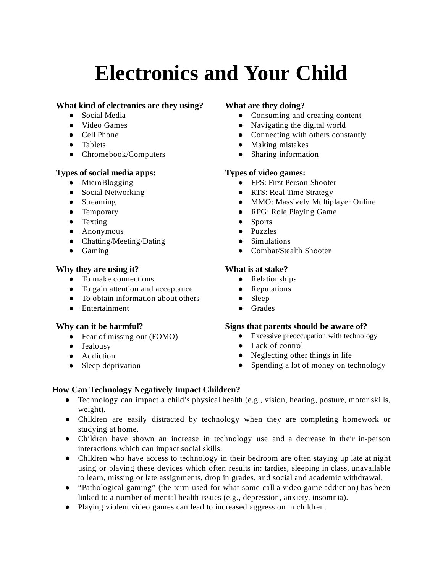# **Electronics and Your Child**

#### **What kind of electronics are they using?**

- Social Media
- Video Games
- Cell Phone
- Tablets
- Chromebook/Computers

#### **Types of social media apps:**

- MicroBlogging
- Social Networking
- Streaming
- Temporary
- Texting
- Anonymous
- Chatting/Meeting/Dating
- Gaming

#### **Why they are using it?**

- To make connections
- To gain attention and acceptance
- To obtain information about others
- Entertainment

#### **Why can it be harmful?**

- Fear of missing out (FOMO)
- Jealousy
- Addiction
- Sleep deprivation

# **What are they doing?**

- Consuming and creating content
- Navigating the digital world
- Connecting with others constantly
- Making mistakes
- Sharing information

#### **Types of video games:**

- FPS: First Person Shooter
- RTS: Real Time Strategy
- MMO: Massively Multiplayer Online
- RPG: Role Playing Game
- Sports
- Puzzles
- Simulations
- Combat/Stealth Shooter

# **What is at stake?**

- Relationships
- Reputations
- Sleep
- Grades

#### **Signs that parents should be aware of?**

- Excessive preoccupation with technology
- Lack of control
- Neglecting other things in life
- Spending a lot of money on technology

# **How Can Technology Negatively Impact Children?**

- $\bullet$  Technology can impact a child's physical health (e.g., vision, hearing, posture, motor skills, weight).
- Children are easily distracted by technology when they are completing homework or studying at home.
- Children have shown an increase in technology use and a decrease in their in-person interactions which can impact social skills.
- Children who have access to technology in their bedroom are often staying up late at night using or playing these devices which often results in: tardies, sleeping in class, unavailable to learn, missing or late assignments, drop in grades, and social and academic withdrawal.
- "Pathological gaming" (the term used for what some call a video game addiction) has been linked to a number of mental health issues (e.g., depression, anxiety, insomnia).
- Playing violent video games can lead to increased aggression in children.